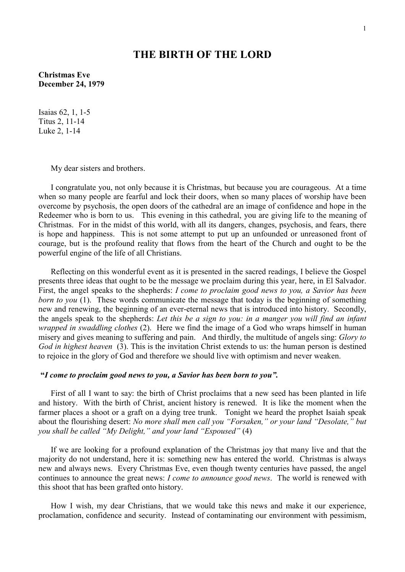## **THE BIRTH OF THE LORD**

**Christmas Eve December 24, 1979** 

Isaias 62, 1, 1-5 Titus 2, 11-14 Luke 2, 1-14

My dear sisters and brothers.

I congratulate you, not only because it is Christmas, but because you are courageous. At a time when so many people are fearful and lock their doors, when so many places of worship have been overcome by psychosis, the open doors of the cathedral are an image of confidence and hope in the Redeemer who is born to us. This evening in this cathedral, you are giving life to the meaning of Christmas. For in the midst of this world, with all its dangers, changes, psychosis, and fears, there is hope and happiness. This is not some attempt to put up an unfounded or unreasoned front of courage, but is the profound reality that flows from the heart of the Church and ought to be the powerful engine of the life of all Christians.

Reflecting on this wonderful event as it is presented in the sacred readings, I believe the Gospel presents three ideas that ought to be the message we proclaim during this year, here, in El Salvador. First, the angel speaks to the shepherds: *I come to proclaim good news to you, a Savior has been born to you* (1). These words communicate the message that today is the beginning of something new and renewing, the beginning of an ever-eternal news that is introduced into history. Secondly, the angels speak to the shepherds: *Let this be a sign to you: in a manger you will find an infant wrapped in swaddling clothes* (2). Here we find the image of a God who wraps himself in human misery and gives meaning to suffering and pain. And thirdly, the multitude of angels sing: *Glory to God in highest heaven* (3). This is the invitation Christ extends to us: the human person is destined to rejoice in the glory of God and therefore we should live with optimism and never weaken.

## **"***I come to proclaim good news to you, a Savior has been born to you".*

First of all I want to say: the birth of Christ proclaims that a new seed has been planted in life and history. With the birth of Christ, ancient history is renewed. It is like the moment when the farmer places a shoot or a graft on a dying tree trunk. Tonight we heard the prophet Isaiah speak about the flourishing desert: *No more shall men call you "Forsaken," or your land "Desolate," but you shall be called "My Delight," and your land "Espoused"* (4)

If we are looking for a profound explanation of the Christmas joy that many live and that the majority do not understand, here it is: something new has entered the world. Christmas is always new and always news. Every Christmas Eve, even though twenty centuries have passed, the angel continues to announce the great news: *I come to announce good news*. The world is renewed with this shoot that has been grafted onto history.

How I wish, my dear Christians, that we would take this news and make it our experience, proclamation, confidence and security. Instead of contaminating our environment with pessimism,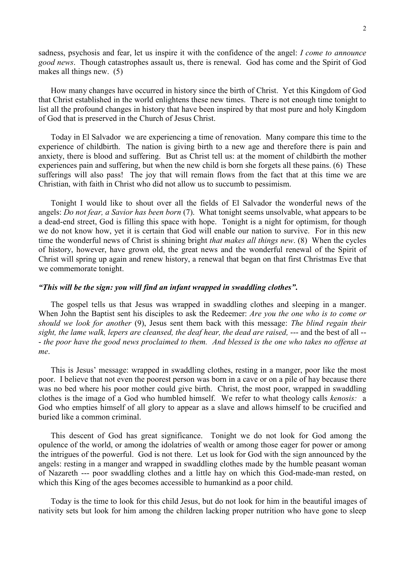sadness, psychosis and fear, let us inspire it with the confidence of the angel: *I come to announce good news*. Though catastrophes assault us, there is renewal. God has come and the Spirit of God makes all things new. (5)

How many changes have occurred in history since the birth of Christ. Yet this Kingdom of God that Christ established in the world enlightens these new times. There is not enough time tonight to list all the profound changes in history that have been inspired by that most pure and holy Kingdom of God that is preserved in the Church of Jesus Christ.

 Today in El Salvador we are experiencing a time of renovation. Many compare this time to the experience of childbirth. The nation is giving birth to a new age and therefore there is pain and anxiety, there is blood and suffering. But as Christ tell us: at the moment of childbirth the mother experiences pain and suffering, but when the new child is born she forgets all these pains. (6) These sufferings will also pass! The joy that will remain flows from the fact that at this time we are Christian, with faith in Christ who did not allow us to succumb to pessimism.

Tonight I would like to shout over all the fields of El Salvador the wonderful news of the angels: *Do not fear, a Savior has been born* (7). What tonight seems unsolvable, what appears to be a dead-end street, God is filling this space with hope. Tonight is a night for optimism, for though we do not know how, yet it is certain that God will enable our nation to survive. For in this new time the wonderful news of Christ is shining bright *that makes all things new*. (8) When the cycles of history, however, have grown old, the great news and the wonderful renewal of the Spirit of Christ will spring up again and renew history, a renewal that began on that first Christmas Eve that we commemorate tonight.

## *"This will be the sign: you will find an infant wrapped in swaddling clothes"***.**

The gospel tells us that Jesus was wrapped in swaddling clothes and sleeping in a manger. When John the Baptist sent his disciples to ask the Redeemer: *Are you the one who is to come or should we look for another* (9), Jesus sent them back with this message: *The blind regain their*  sight, the lame walk, lepers are cleansed, the deaf hear, the dead are raised, --- and the best of all --- *the poor have the good news proclaimed to them. And blessed is the one who takes no offense at me*.

This is Jesus' message: wrapped in swaddling clothes, resting in a manger, poor like the most poor. I believe that not even the poorest person was born in a cave or on a pile of hay because there was no bed where his poor mother could give birth. Christ, the most poor, wrapped in swaddling clothes is the image of a God who humbled himself. We refer to what theology calls *kenosis:* a God who empties himself of all glory to appear as a slave and allows himself to be crucified and buried like a common criminal.

 This descent of God has great significance. Tonight we do not look for God among the opulence of the world, or among the idolatries of wealth or among those eager for power or among the intrigues of the powerful. God is not there. Let us look for God with the sign announced by the angels: resting in a manger and wrapped in swaddling clothes made by the humble peasant woman of Nazareth --- poor swaddling clothes and a little hay on which this God-made-man rested, on which this King of the ages becomes accessible to humankind as a poor child.

Today is the time to look for this child Jesus, but do not look for him in the beautiful images of nativity sets but look for him among the children lacking proper nutrition who have gone to sleep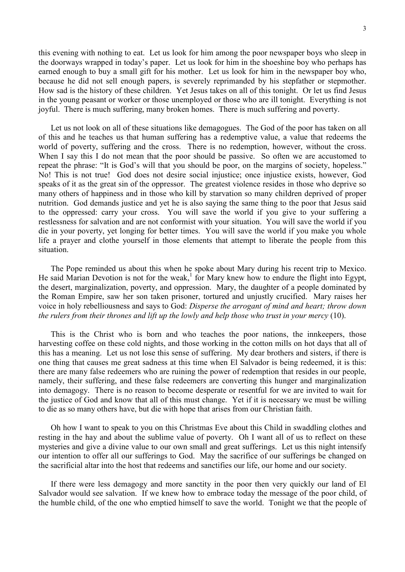this evening with nothing to eat. Let us look for him among the poor newspaper boys who sleep in the doorways wrapped in today's paper. Let us look for him in the shoeshine boy who perhaps has earned enough to buy a small gift for his mother. Let us look for him in the newspaper boy who, because he did not sell enough papers, is severely reprimanded by his stepfather or stepmother. How sad is the history of these children. Yet Jesus takes on all of this tonight. Or let us find Jesus in the young peasant or worker or those unemployed or those who are ill tonight. Everything is not joyful. There is much suffering, many broken homes. There is much suffering and poverty.

Let us not look on all of these situations like demagogues. The God of the poor has taken on all of this and he teaches us that human suffering has a redemptive value, a value that redeems the world of poverty, suffering and the cross. There is no redemption, however, without the cross. When I say this I do not mean that the poor should be passive. So often we are accustomed to repeat the phrase: "It is God's will that you should be poor, on the margins of society, hopeless." No! This is not true! God does not desire social injustice; once injustice exists, however, God speaks of it as the great sin of the oppressor. The greatest violence resides in those who deprive so many others of happiness and in those who kill by starvation so many children deprived of proper nutrition. God demands justice and yet he is also saying the same thing to the poor that Jesus said to the oppressed: carry your cross. You will save the world if you give to your suffering a restlessness for salvation and are not conformist with your situation. You will save the world if you die in your poverty, yet longing for better times. You will save the world if you make you whole life a prayer and clothe yourself in those elements that attempt to liberate the people from this situation.

The Pope reminded us about this when he spoke about Mary during his recent trip to Mexico. He said Marian Devotion is not for the weak,<sup>1</sup> for Mary knew how to endure the flight into Egypt, the desert, marginalization, poverty, and oppression. Mary, the daughter of a people dominated by the Roman Empire, saw her son taken prisoner, tortured and unjustly crucified. Mary raises her voice in holy rebelliousness and says to God: *Disperse the arrogant of mind and heart; throw down the rulers from their thrones and lift up the lowly and help those who trust in your mercy* (10).

This is the Christ who is born and who teaches the poor nations, the innkeepers, those harvesting coffee on these cold nights, and those working in the cotton mills on hot days that all of this has a meaning. Let us not lose this sense of suffering. My dear brothers and sisters, if there is one thing that causes me great sadness at this time when El Salvador is being redeemed, it is this: there are many false redeemers who are ruining the power of redemption that resides in our people, namely, their suffering, and these false redeemers are converting this hunger and marginalization into demagogy. There is no reason to become desperate or resentful for we are invited to wait for the justice of God and know that all of this must change. Yet if it is necessary we must be willing to die as so many others have, but die with hope that arises from our Christian faith.

Oh how I want to speak to you on this Christmas Eve about this Child in swaddling clothes and resting in the hay and about the sublime value of poverty. Oh I want all of us to reflect on these mysteries and give a divine value to our own small and great sufferings. Let us this night intensify our intention to offer all our sufferings to God. May the sacrifice of our sufferings be changed on the sacrificial altar into the host that redeems and sanctifies our life, our home and our society.

If there were less demagogy and more sanctity in the poor then very quickly our land of El Salvador would see salvation. If we knew how to embrace today the message of the poor child, of the humble child, of the one who emptied himself to save the world. Tonight we that the people of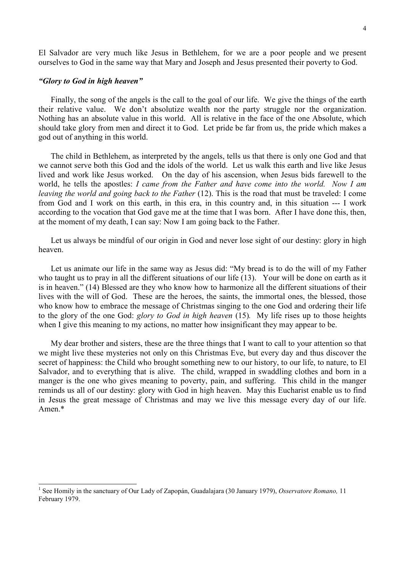El Salvador are very much like Jesus in Bethlehem, for we are a poor people and we present ourselves to God in the same way that Mary and Joseph and Jesus presented their poverty to God.

## *"Glory to God in high heaven"*

 $\overline{a}$ 

 Finally, the song of the angels is the call to the goal of our life. We give the things of the earth their relative value. We don't absolutize wealth nor the party struggle nor the organization. Nothing has an absolute value in this world. All is relative in the face of the one Absolute, which should take glory from men and direct it to God. Let pride be far from us, the pride which makes a god out of anything in this world.

The child in Bethlehem, as interpreted by the angels, tells us that there is only one God and that we cannot serve both this God and the idols of the world. Let us walk this earth and live like Jesus lived and work like Jesus worked. On the day of his ascension, when Jesus bids farewell to the world, he tells the apostles: *I came from the Father and have come into the world. Now I am leaving the world and going back to the Father* (12). This is the road that must be traveled: I come from God and I work on this earth, in this era, in this country and, in this situation --- I work according to the vocation that God gave me at the time that I was born. After I have done this, then, at the moment of my death, I can say: Now I am going back to the Father.

Let us always be mindful of our origin in God and never lose sight of our destiny: glory in high heaven.

Let us animate our life in the same way as Jesus did: "My bread is to do the will of my Father who taught us to pray in all the different situations of our life (13). Your will be done on earth as it is in heaven." (14) Blessed are they who know how to harmonize all the different situations of their lives with the will of God. These are the heroes, the saints, the immortal ones, the blessed, those who know how to embrace the message of Christmas singing to the one God and ordering their life to the glory of the one God: *glory to God in high heaven* (15)*.* My life rises up to those heights when I give this meaning to my actions, no matter how insignificant they may appear to be.

My dear brother and sisters, these are the three things that I want to call to your attention so that we might live these mysteries not only on this Christmas Eve, but every day and thus discover the secret of happiness: the Child who brought something new to our history, to our life, to nature, to El Salvador, and to everything that is alive. The child, wrapped in swaddling clothes and born in a manger is the one who gives meaning to poverty, pain, and suffering. This child in the manger reminds us all of our destiny: glory with God in high heaven. May this Eucharist enable us to find in Jesus the great message of Christmas and may we live this message every day of our life. Amen<sup>\*</sup>

<sup>1</sup> See Homily in the sanctuary of Our Lady of Zapopán, Guadalajara (30 January 1979), *Osservatore Romano,* 11 February 1979.